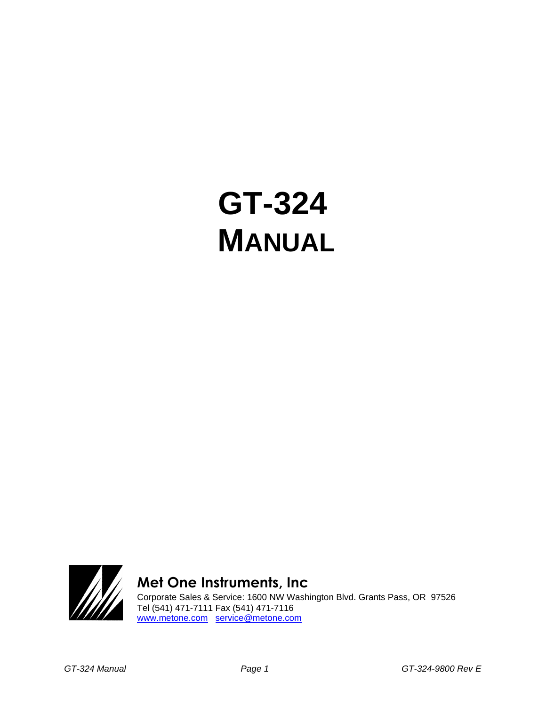# **GT-324 MANUAL**



# **Met One Instruments, Inc**

Corporate Sales & Service: 1600 NW Washington Blvd. Grants Pass, OR 97526 Tel (541) 471-7111 Fax (541) 471-7116 [www.metone.com](http://www.metone.com/) [service@metone.com](mailto:service@metone.com)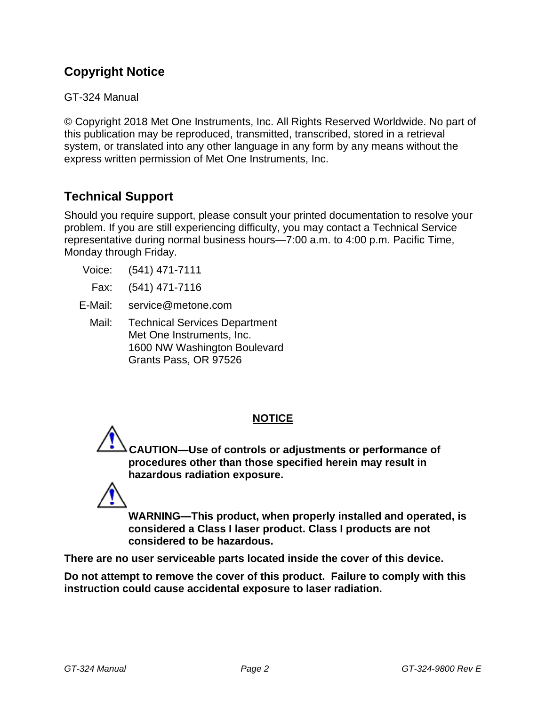# **Copyright Notice**

GT-324 Manual

© Copyright 2018 Met One Instruments, Inc. All Rights Reserved Worldwide. No part of this publication may be reproduced, transmitted, transcribed, stored in a retrieval system, or translated into any other language in any form by any means without the express written permission of Met One Instruments, Inc.

# **Technical Support**

Should you require support, please consult your printed documentation to resolve your problem. If you are still experiencing difficulty, you may contact a Technical Service representative during normal business hours—7:00 a.m. to 4:00 p.m. Pacific Time, Monday through Friday.

- Voice: (541) 471-7111
- Fax: (541) 471-7116
- E-Mail: service@metone.com
	- Mail: Technical Services Department Met One Instruments, Inc. 1600 NW Washington Boulevard Grants Pass, OR 97526

# **NOTICE**

**CAUTION—Use of controls or adjustments or performance of procedures other than those specified herein may result in hazardous radiation exposure.**



**WARNING—This product, when properly installed and operated, is considered a Class I laser product. Class I products are not considered to be hazardous.**

**There are no user serviceable parts located inside the cover of this device.** 

**Do not attempt to remove the cover of this product. Failure to comply with this instruction could cause accidental exposure to laser radiation.**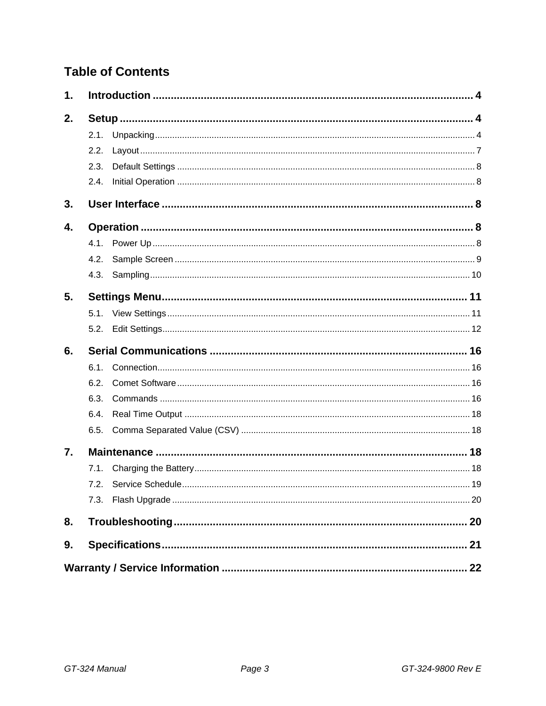# **Table of Contents**

| 1. |      |  |
|----|------|--|
| 2. |      |  |
|    | 2.1. |  |
|    | 2.2. |  |
|    | 2.3. |  |
|    | 2.4. |  |
| 3. |      |  |
| 4. |      |  |
|    | 4.1. |  |
|    | 4.2. |  |
|    | 4.3. |  |
| 5. |      |  |
|    |      |  |
|    | 5.2. |  |
| 6. |      |  |
|    | 6.1. |  |
|    | 6.2. |  |
|    | 6.3. |  |
|    | 6.4. |  |
|    | 6.5. |  |
| 7. |      |  |
|    | 7.1. |  |
|    | 7.2. |  |
|    | 7.3. |  |
| 8. |      |  |
| 9. |      |  |
|    |      |  |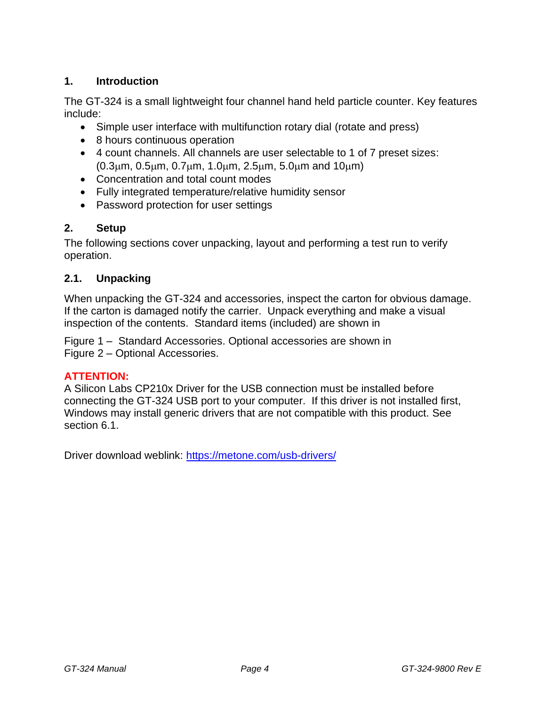# <span id="page-3-0"></span>**1. Introduction**

The GT-324 is a small lightweight four channel hand held particle counter. Key features include:

- Simple user interface with multifunction rotary dial (rotate and press)
- 8 hours continuous operation
- 4 count channels. All channels are user selectable to 1 of 7 preset sizes:  $(0.3\mu m, 0.5\mu m, 0.7\mu m, 1.0\mu m, 2.5\mu m, 5.0\mu m, and 10\mu m)$
- Concentration and total count modes
- Fully integrated temperature/relative humidity sensor
- Password protection for user settings

# <span id="page-3-1"></span>**2. Setup**

The following sections cover unpacking, layout and performing a test run to verify operation.

# <span id="page-3-2"></span>**2.1. Unpacking**

When unpacking the GT-324 and accessories, inspect the carton for obvious damage. If the carton is damaged notify the carrier. Unpack everything and make a visual inspection of the contents. Standard items (included) are shown in

[Figure](#page-4-0) 1 – Standard Accessories. Optional accessories are shown in Figure 2 – [Optional Accessories.](#page-5-0)

# **ATTENTION:**

A Silicon Labs CP210x Driver for the USB connection must be installed before connecting the GT-324 USB port to your computer. If this driver is not installed first, Windows may install generic drivers that are not compatible with this product. See section [6.1.](#page-15-1)

Driver download weblink:<https://metone.com/usb-drivers/>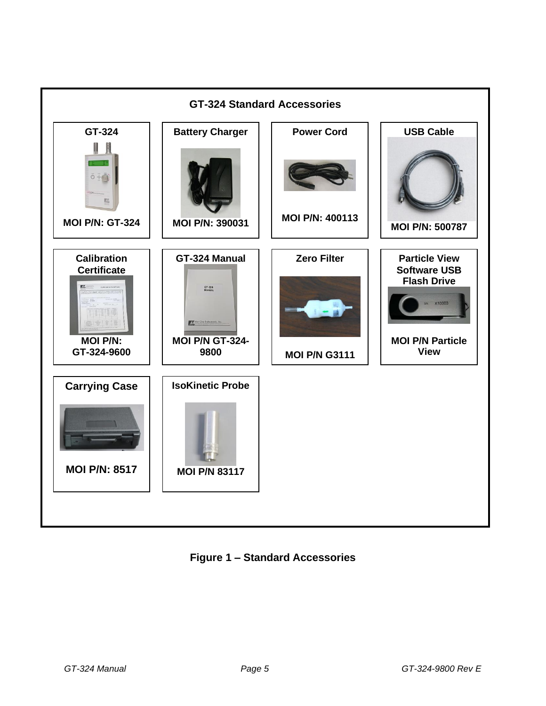

<span id="page-4-0"></span>**Figure 1 – Standard Accessories**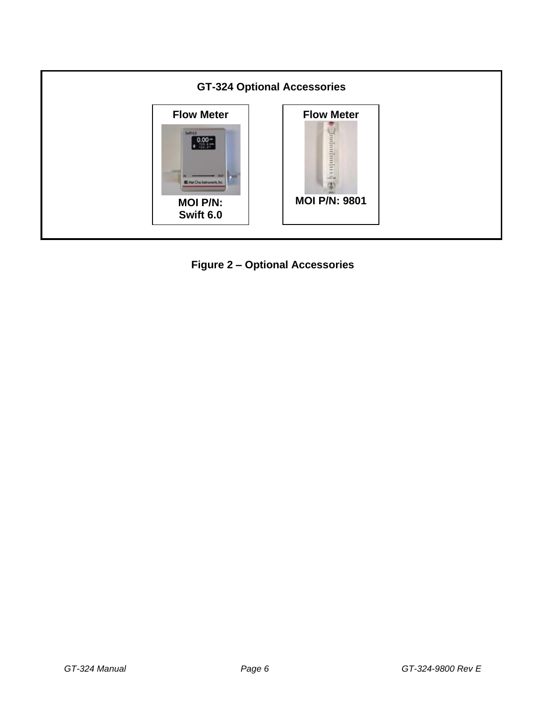

<span id="page-5-0"></span>**Figure 2 – Optional Accessories**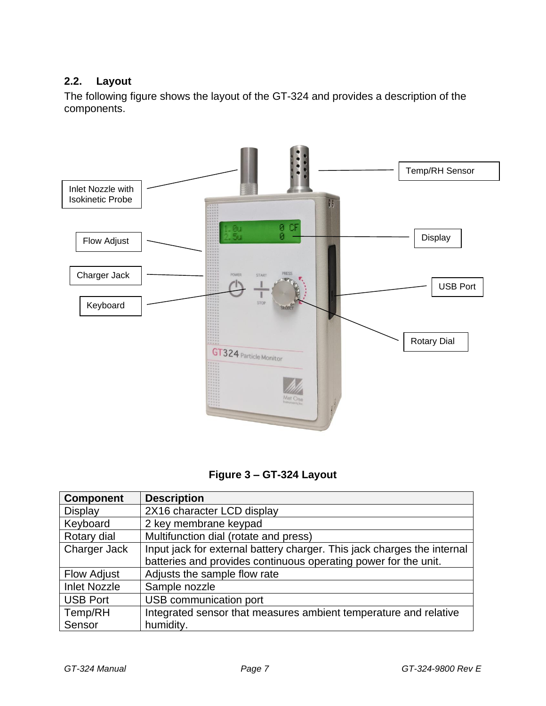# <span id="page-6-0"></span>**2.2. Layout**

The following figure shows the layout of the GT-324 and provides a description of the components.



**Figure 3 – GT-324 Layout**

| <b>Component</b>    | <b>Description</b>                                                      |
|---------------------|-------------------------------------------------------------------------|
| <b>Display</b>      | 2X16 character LCD display                                              |
| Keyboard            | 2 key membrane keypad                                                   |
| Rotary dial         | Multifunction dial (rotate and press)                                   |
| Charger Jack        | Input jack for external battery charger. This jack charges the internal |
|                     | batteries and provides continuous operating power for the unit.         |
| <b>Flow Adjust</b>  | Adjusts the sample flow rate                                            |
| <b>Inlet Nozzle</b> | Sample nozzle                                                           |
| <b>USB Port</b>     | USB communication port                                                  |
| Temp/RH             | Integrated sensor that measures ambient temperature and relative        |
| Sensor              | humidity.                                                               |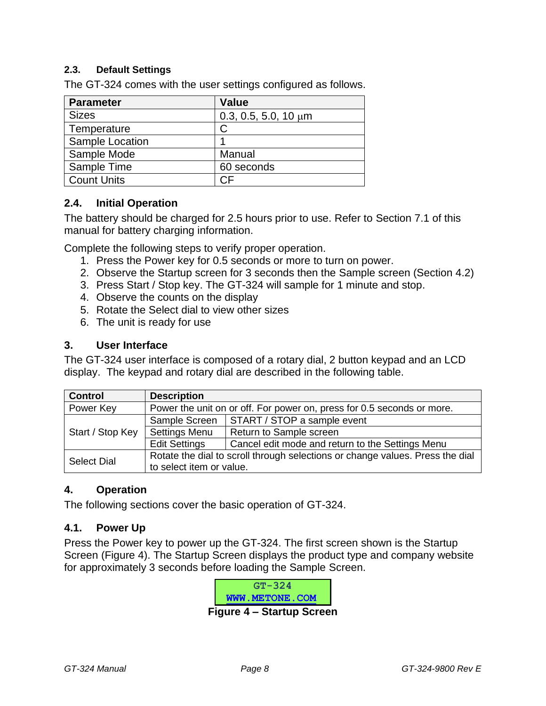#### <span id="page-7-0"></span>**2.3. Default Settings**

The GT-324 comes with the user settings configured as follows.

| <b>Parameter</b>   | Value                     |
|--------------------|---------------------------|
| <b>Sizes</b>       | 0.3, 0.5, 5.0, 10 $\mu$ m |
| Temperature        | C                         |
| Sample Location    |                           |
| Sample Mode        | Manual                    |
| Sample Time        | 60 seconds                |
| <b>Count Units</b> |                           |

#### <span id="page-7-1"></span>**2.4. Initial Operation**

The battery should be charged for 2.5 hours prior to use. Refer to Section [7.1](#page-17-3) of this manual for battery charging information.

Complete the following steps to verify proper operation.

- 1. Press the Power key for 0.5 seconds or more to turn on power.
- 2. Observe the Startup screen for 3 seconds then the Sample screen (Section [4.2\)](#page-8-0)
- 3. Press Start / Stop key. The GT-324 will sample for 1 minute and stop.
- 4. Observe the counts on the display
- 5. Rotate the Select dial to view other sizes
- 6. The unit is ready for use

#### <span id="page-7-2"></span>**3. User Interface**

The GT-324 user interface is composed of a rotary dial, 2 button keypad and an LCD display. The keypad and rotary dial are described in the following table.

| <b>Control</b>                                                                      | <b>Description</b>       |                                                                               |
|-------------------------------------------------------------------------------------|--------------------------|-------------------------------------------------------------------------------|
| Power Key<br>Power the unit on or off. For power on, press for 0.5 seconds or more. |                          |                                                                               |
|                                                                                     | Sample Screen            | START / STOP a sample event                                                   |
| Start / Stop Key                                                                    | <b>Settings Menu</b>     | Return to Sample screen                                                       |
|                                                                                     | <b>Edit Settings</b>     | Cancel edit mode and return to the Settings Menu                              |
| <b>Select Dial</b>                                                                  |                          | Rotate the dial to scroll through selections or change values. Press the dial |
|                                                                                     | to select item or value. |                                                                               |

#### <span id="page-7-3"></span>**4. Operation**

<span id="page-7-4"></span>The following sections cover the basic operation of GT-324.

#### **4.1. Power Up**

<span id="page-7-5"></span>Press the Power key to power up the GT-324. The first screen shown is the Startup Screen [\(Figure 4\)](#page-7-5). The Startup Screen displays the product type and company website for approximately 3 seconds before loading the Sample Screen.

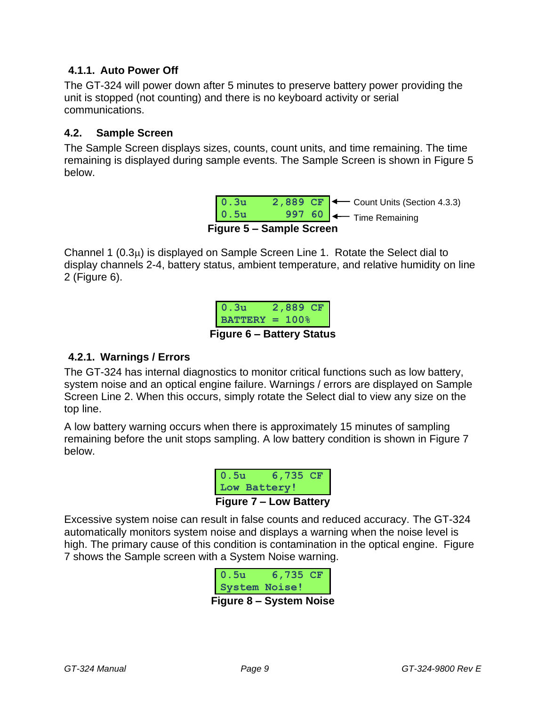#### **4.1.1. Auto Power Off**

The GT-324 will power down after 5 minutes to preserve battery power providing the unit is stopped (not counting) and there is no keyboard activity or serial communications.

#### <span id="page-8-0"></span>**4.2. Sample Screen**

The Sample Screen displays sizes, counts, count units, and time remaining. The time remaining is displayed during sample events. The Sample Screen is shown in [Figure 5](#page-8-1) below.

|      | Figure 5 - Sample Screen |                                                                  |
|------|--------------------------|------------------------------------------------------------------|
| 0.5u |                          | 997 60 - Time Remaining                                          |
| 0.3u |                          | 2,889 CF $\left  \leftarrow \right $ Count Units (Section 4.3.3) |

<span id="page-8-1"></span>Channel 1  $(0.3\mu)$  is displayed on Sample Screen Line 1. Rotate the Select dial to display channels 2-4, battery status, ambient temperature, and relative humidity on line 2 [\(Figure 6\)](#page-8-2).



#### <span id="page-8-2"></span>**4.2.1. Warnings / Errors**

The GT-324 has internal diagnostics to monitor critical functions such as low battery, system noise and an optical engine failure. Warnings / errors are displayed on Sample Screen Line 2. When this occurs, simply rotate the Select dial to view any size on the top line.

A low battery warning occurs when there is approximately 15 minutes of sampling remaining before the unit stops sampling. A low battery condition is shown in [Figure 7](#page-8-3) below.



<span id="page-8-3"></span>Excessive system noise can result in false counts and reduced accuracy. The GT-324 automatically monitors system noise and displays a warning when the noise level is high. The primary cause of this condition is contamination in the optical engine. [Figure](#page-8-3)  [7](#page-8-3) shows the Sample screen with a System Noise warning.

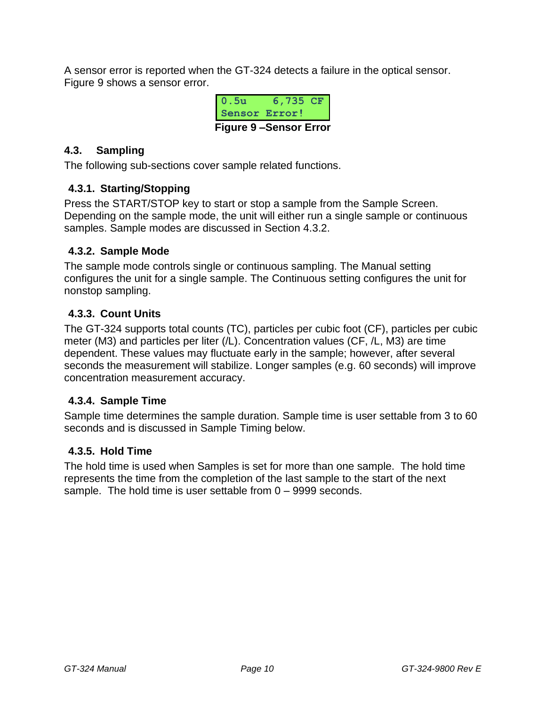A sensor error is reported when the GT-324 detects a failure in the optical sensor. [Figure 9](#page-9-2) shows a sensor error.

| 0 . 5u                       | 6,735 CF |  |  |
|------------------------------|----------|--|--|
| Sensor Error!                |          |  |  |
| <b>Figure 9-Sensor Error</b> |          |  |  |

# <span id="page-9-2"></span><span id="page-9-0"></span>**4.3. Sampling**

The following sub-sections cover sample related functions.

# **4.3.1. Starting/Stopping**

Press the START/STOP key to start or stop a sample from the Sample Screen. Depending on the sample mode, the unit will either run a single sample or continuous samples. Sample modes are discussed in Section [4.3.2.](#page-9-3)

# <span id="page-9-3"></span>**4.3.2. Sample Mode**

The sample mode controls single or continuous sampling. The Manual setting configures the unit for a single sample. The Continuous setting configures the unit for nonstop sampling.

# <span id="page-9-1"></span>**4.3.3. Count Units**

The GT-324 supports total counts (TC), particles per cubic foot (CF), particles per cubic meter (M3) and particles per liter (/L). Concentration values (CF, /L, M3) are time dependent. These values may fluctuate early in the sample; however, after several seconds the measurement will stabilize. Longer samples (e.g. 60 seconds) will improve concentration measurement accuracy.

# <span id="page-9-4"></span>**4.3.4. Sample Time**

Sample time determines the sample duration. Sample time is user settable from 3 to 60 seconds and is discussed in Sample Timing below.

# <span id="page-9-5"></span>**4.3.5. Hold Time**

The hold time is used when Samples is set for more than one sample. The hold time represents the time from the completion of the last sample to the start of the next sample. The hold time is user settable from 0 – 9999 seconds.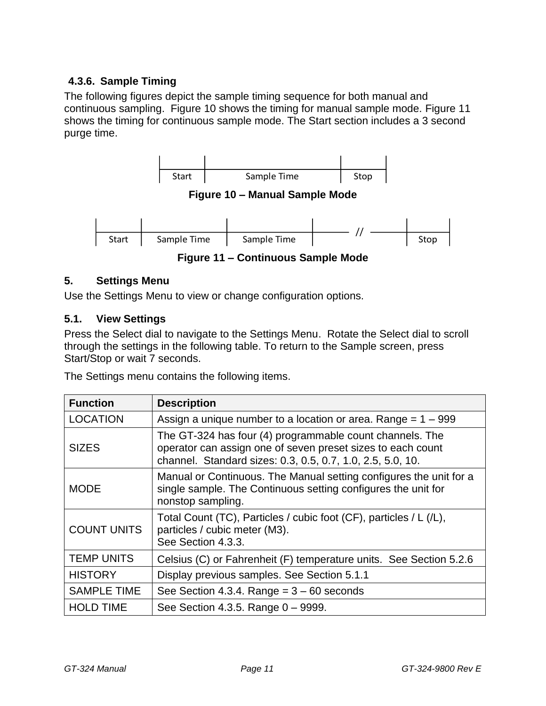# **4.3.6. Sample Timing**

The following figures depict the sample timing sequence for both manual and continuous sampling. [Figure 10](#page-10-2) shows the timing for manual sample mode. [Figure 11](#page-10-3) shows the timing for continuous sample mode. The Start section includes a 3 second purge time.

<span id="page-10-2"></span>

**Figure 11 – Continuous Sample Mode**

#### <span id="page-10-3"></span><span id="page-10-0"></span>**5. Settings Menu**

Use the Settings Menu to view or change configuration options.

#### <span id="page-10-1"></span>**5.1. View Settings**

Press the Select dial to navigate to the Settings Menu. Rotate the Select dial to scroll through the settings in the following table. To return to the Sample screen, press Start/Stop or wait 7 seconds.

The Settings menu contains the following items.

| <b>Function</b>    | <b>Description</b>                                                                                                                                                                    |
|--------------------|---------------------------------------------------------------------------------------------------------------------------------------------------------------------------------------|
| <b>LOCATION</b>    | Assign a unique number to a location or area. Range $= 1 - 999$                                                                                                                       |
| <b>SIZES</b>       | The GT-324 has four (4) programmable count channels. The<br>operator can assign one of seven preset sizes to each count<br>channel. Standard sizes: 0.3, 0.5, 0.7, 1.0, 2.5, 5.0, 10. |
| <b>MODE</b>        | Manual or Continuous. The Manual setting configures the unit for a<br>single sample. The Continuous setting configures the unit for<br>nonstop sampling.                              |
| <b>COUNT UNITS</b> | Total Count (TC), Particles / cubic foot (CF), particles / L (/L),<br>particles / cubic meter (M3).<br>See Section 4.3.3.                                                             |
| <b>TEMP UNITS</b>  | Celsius (C) or Fahrenheit (F) temperature units. See Section 5.2.6                                                                                                                    |
| <b>HISTORY</b>     | Display previous samples. See Section 5.1.1                                                                                                                                           |
| <b>SAMPLE TIME</b> | See Section 4.3.4. Range $= 3 - 60$ seconds                                                                                                                                           |
| <b>HOLD TIME</b>   | See Section 4.3.5. Range 0 - 9999.                                                                                                                                                    |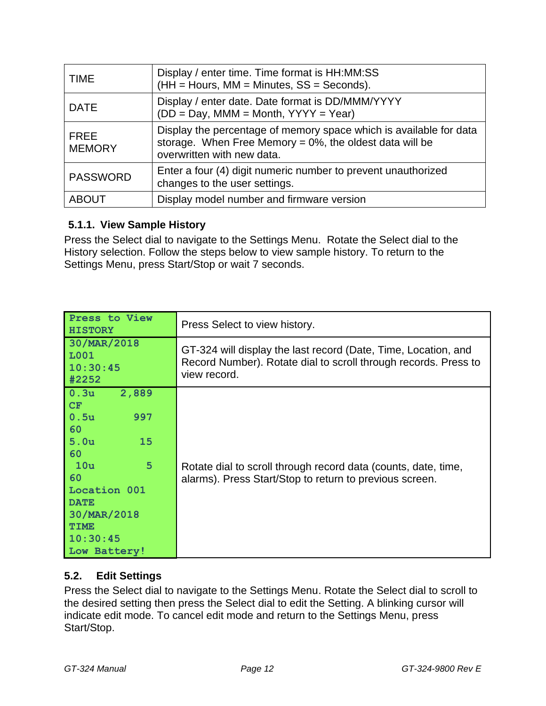| <b>TIME</b>                  | Display / enter time. Time format is HH:MM:SS<br>$(HH = Hours, MM = Minutes, SS = Seconds).$                                                                    |
|------------------------------|-----------------------------------------------------------------------------------------------------------------------------------------------------------------|
| <b>DATE</b>                  | Display / enter date. Date format is DD/MMM/YYYY<br>$(DD = Day, MMM = Month, YYYY = Year)$                                                                      |
| <b>FREE</b><br><b>MEMORY</b> | Display the percentage of memory space which is available for data<br>storage. When Free Memory = $0\%$ , the oldest data will be<br>overwritten with new data. |
| <b>PASSWORD</b>              | Enter a four (4) digit numeric number to prevent unauthorized<br>changes to the user settings.                                                                  |
| <b>ABOUT</b>                 | Display model number and firmware version                                                                                                                       |

# <span id="page-11-1"></span>**5.1.1. View Sample History**

Press the Select dial to navigate to the Settings Menu. Rotate the Select dial to the History selection. Follow the steps below to view sample history. To return to the Settings Menu, press Start/Stop or wait 7 seconds.

| Press to View<br><b>HISTORY</b>                                                                                                                                                                 | Press Select to view history.                                                                                                                     |
|-------------------------------------------------------------------------------------------------------------------------------------------------------------------------------------------------|---------------------------------------------------------------------------------------------------------------------------------------------------|
| 30/MAR/2018<br>L001<br>10:30:45<br>#2252                                                                                                                                                        | GT-324 will display the last record (Date, Time, Location, and<br>Record Number). Rotate dial to scroll through records. Press to<br>view record. |
| 2,889<br>0.3u<br>CF<br>0.5 <sub>u</sub><br>997<br>60<br>5.0 <sub>u</sub><br>15<br>60<br>5<br>10u<br>60<br>Location 001<br><b>DATE</b><br>30/MAR/2018<br><b>TTME</b><br>10:30:45<br>Low Battery! | Rotate dial to scroll through record data (counts, date, time,<br>alarms). Press Start/Stop to return to previous screen.                         |

# <span id="page-11-0"></span>**5.2. Edit Settings**

Press the Select dial to navigate to the Settings Menu. Rotate the Select dial to scroll to the desired setting then press the Select dial to edit the Setting. A blinking cursor will indicate edit mode. To cancel edit mode and return to the Settings Menu, press Start/Stop.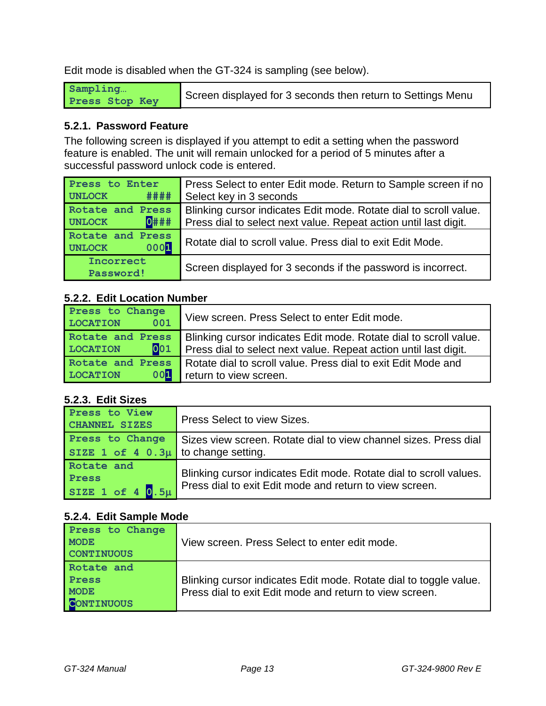Edit mode is disabled when the GT-324 is sampling (see below).

| Sampling       | Screen displayed for 3 seconds then return to Settings Menu |
|----------------|-------------------------------------------------------------|
| Press Stop Key |                                                             |

#### **5.2.1. Password Feature**

The following screen is displayed if you attempt to edit a setting when the password feature is enabled. The unit will remain unlocked for a period of 5 minutes after a successful password unlock code is entered.

| Press to Enter<br>####<br><b>UNLOCK</b>      | Press Select to enter Edit mode. Return to Sample screen if no<br>Select key in 3 seconds                                             |
|----------------------------------------------|---------------------------------------------------------------------------------------------------------------------------------------|
| Rotate and Press<br>$0$ ###<br><b>UNLOCK</b> | Blinking cursor indicates Edit mode. Rotate dial to scroll value.<br>Press dial to select next value. Repeat action until last digit. |
| Rotate and Press<br>0001<br>UNLOCK           | Rotate dial to scroll value. Press dial to exit Edit Mode.                                                                            |
| Incorrect<br>Password!                       | Screen displayed for 3 seconds if the password is incorrect.                                                                          |

#### **5.2.2. Edit Location Number**

| Press to Change<br><b>LOCATION</b><br>001  | View screen. Press Select to enter Edit mode.                     |
|--------------------------------------------|-------------------------------------------------------------------|
| Rotate and Press<br>001<br><b>LOCATION</b> | Blinking cursor indicates Edit mode. Rotate dial to scroll value. |
|                                            | Press dial to select next value. Repeat action until last digit.  |
| Rotate and Press                           | Rotate dial to scroll value. Press dial to exit Edit Mode and     |
| 00 <sup>1</sup><br><b>LOCATION</b>         | return to view screen.                                            |

# **5.2.3. Edit Sizes**

| Press to View<br><b>CHANNEL SIZES</b>   | Press Select to view Sizes.                                        |
|-----------------------------------------|--------------------------------------------------------------------|
| Press to Change                         | Sizes view screen. Rotate dial to view channel sizes. Press dial   |
| SIZE 1 of 4 $0.3\mu$ to change setting. |                                                                    |
| Rotate and                              |                                                                    |
| Press                                   | Blinking cursor indicates Edit mode. Rotate dial to scroll values. |
| SIZE 1 of 4 $0.5\mu$                    | Press dial to exit Edit mode and return to view screen.            |

# **5.2.4. Edit Sample Mode**

| Press to Change<br><b>MODE</b><br><b>CONTINUOUS</b>     | View screen. Press Select to enter edit mode.                                                                                |
|---------------------------------------------------------|------------------------------------------------------------------------------------------------------------------------------|
| Rotate and<br>Press<br><b>MODE</b><br><b>CONTINUOUS</b> | Blinking cursor indicates Edit mode. Rotate dial to toggle value.<br>Press dial to exit Edit mode and return to view screen. |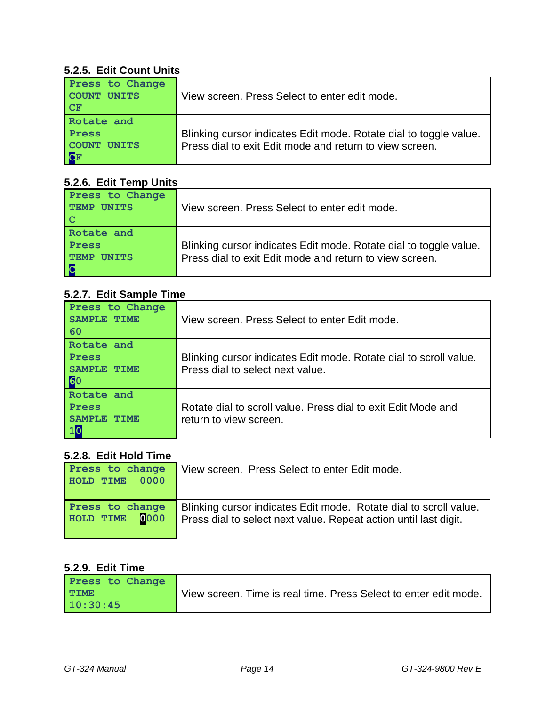#### **5.2.5. Edit Count Units**

| Press to Change<br>COUNT UNITS<br><b>CF</b> | View screen. Press Select to enter edit mode.                                                                                |
|---------------------------------------------|------------------------------------------------------------------------------------------------------------------------------|
| Rotate and<br>Press<br>COUNT UNITS<br>CF    | Blinking cursor indicates Edit mode. Rotate dial to toggle value.<br>Press dial to exit Edit mode and return to view screen. |

#### <span id="page-13-0"></span>**5.2.6. Edit Temp Units**

| Press to Change<br><b>TEMP UNITS</b><br>l C                    | View screen. Press Select to enter edit mode.                                                                                |
|----------------------------------------------------------------|------------------------------------------------------------------------------------------------------------------------------|
| Rotate and<br>Press<br><b>TEMP</b><br><b>UNITS</b><br><b>C</b> | Blinking cursor indicates Edit mode. Rotate dial to toggle value.<br>Press dial to exit Edit mode and return to view screen. |

# **5.2.7. Edit Sample Time**

| Press to Change<br><b>SAMPLE</b><br><b>TTME</b><br>60 | View screen. Press Select to enter Edit mode.                                                         |
|-------------------------------------------------------|-------------------------------------------------------------------------------------------------------|
| Rotate and<br>Press<br>SAMPLE<br><b>TTME</b><br>60    | Blinking cursor indicates Edit mode. Rotate dial to scroll value.<br>Press dial to select next value. |
| Rotate and<br>Press<br>SAMPT.F.<br>10                 | Rotate dial to scroll value. Press dial to exit Edit Mode and<br>return to view screen.               |

#### **5.2.8. Edit Hold Time**

| Press to change<br>HOLD TIME 0000 | View screen. Press Select to enter Edit mode.                                                                                         |
|-----------------------------------|---------------------------------------------------------------------------------------------------------------------------------------|
| Press to change<br>HOLD TIME 0000 | Blinking cursor indicates Edit mode. Rotate dial to scroll value.<br>Press dial to select next value. Repeat action until last digit. |

# **5.2.9. Edit Time**

| Press to Change |                                                                  |
|-----------------|------------------------------------------------------------------|
| <b>TIME</b>     | View screen. Time is real time. Press Select to enter edit mode. |
| 10:30:45        |                                                                  |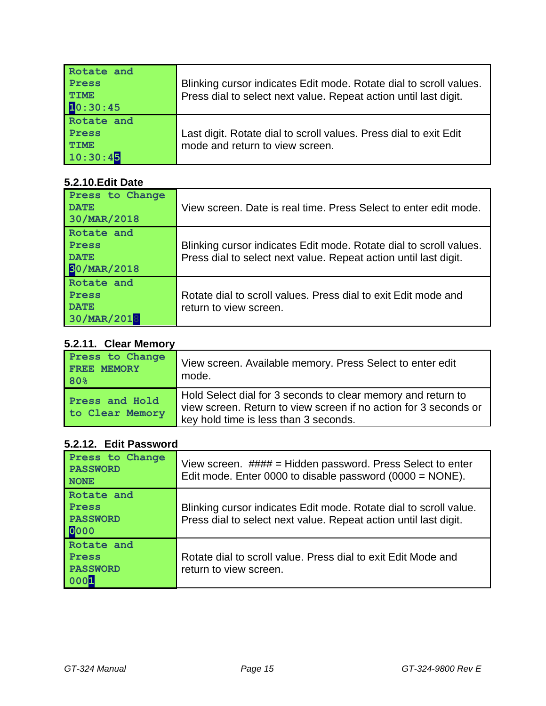| Rotate and<br>Press<br><b>TIME</b><br>10:30:45 | Blinking cursor indicates Edit mode. Rotate dial to scroll values.<br>Press dial to select next value. Repeat action until last digit. |
|------------------------------------------------|----------------------------------------------------------------------------------------------------------------------------------------|
| Rotate and<br>Press<br><b>TIME</b><br>10:30:45 | Last digit. Rotate dial to scroll values. Press dial to exit Edit<br>mode and return to view screen.                                   |

# **5.2.10.Edit Date**

| Press to Change<br><b>DATE</b>                           | View screen. Date is real time. Press Select to enter edit mode.                                                                       |
|----------------------------------------------------------|----------------------------------------------------------------------------------------------------------------------------------------|
| 30/MAR/2018                                              |                                                                                                                                        |
| Rotate and<br>Press<br><b>DATE</b><br><b>BO/MAR/2018</b> | Blinking cursor indicates Edit mode. Rotate dial to scroll values.<br>Press dial to select next value. Repeat action until last digit. |
| Rotate and<br>Press<br><b>DATE</b><br>30/MAR/2018        | Rotate dial to scroll values. Press dial to exit Edit mode and<br>return to view screen.                                               |

# **5.2.11. Clear Memory**

| $V_{\rm L}$ . III. VIVAI INVIIIVI            |                                                                                                                                                                           |
|----------------------------------------------|---------------------------------------------------------------------------------------------------------------------------------------------------------------------------|
| Press to Change<br><b>FREE MEMORY</b><br>80% | View screen. Available memory. Press Select to enter edit<br>mode.                                                                                                        |
| Press and Hold<br>to Clear Memory            | Hold Select dial for 3 seconds to clear memory and return to<br>view screen. Return to view screen if no action for 3 seconds or<br>key hold time is less than 3 seconds. |

# **5.2.12. Edit Password**

| Press to Change<br><b>PASSWORD</b><br><b>NONE</b>     | View screen. $\# \# \# \# =$ Hidden password. Press Select to enter<br>Edit mode. Enter 0000 to disable password $(0000 = \text{NONE})$ . |
|-------------------------------------------------------|-------------------------------------------------------------------------------------------------------------------------------------------|
| Rotate and<br><b>Press</b><br><b>PASSWORD</b><br>0000 | Blinking cursor indicates Edit mode. Rotate dial to scroll value.<br>Press dial to select next value. Repeat action until last digit.     |
| Rotate and<br>Press<br><b>PASSWORD</b><br>0001        | Rotate dial to scroll value. Press dial to exit Edit Mode and<br>return to view screen.                                                   |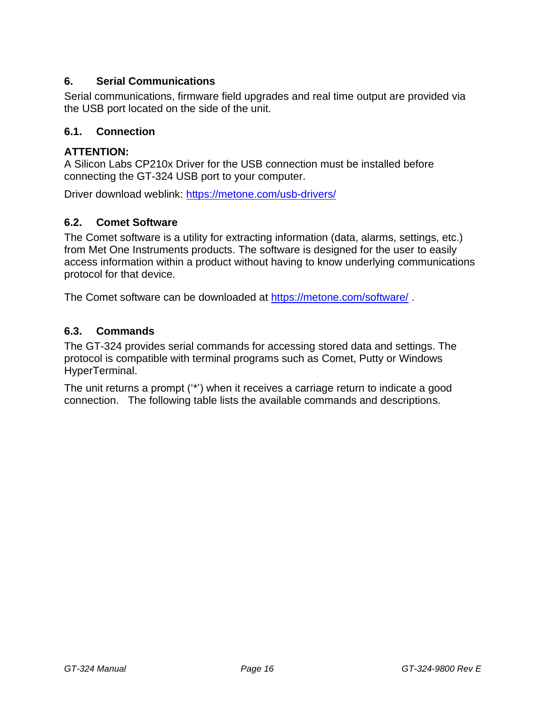# <span id="page-15-0"></span>**6. Serial Communications**

Serial communications, firmware field upgrades and real time output are provided via the USB port located on the side of the unit.

#### <span id="page-15-1"></span>**6.1. Connection**

#### **ATTENTION:**

A Silicon Labs CP210x Driver for the USB connection must be installed before connecting the GT-324 USB port to your computer.

Driver download weblink:<https://metone.com/usb-drivers/>

#### <span id="page-15-2"></span>**6.2. Comet Software**

The Comet software is a utility for extracting information (data, alarms, settings, etc.) from Met One Instruments products. The software is designed for the user to easily access information within a product without having to know underlying communications protocol for that device.

The Comet software can be downloaded at<https://metone.com/software/> .

#### <span id="page-15-3"></span>**6.3. Commands**

The GT-324 provides serial commands for accessing stored data and settings. The protocol is compatible with terminal programs such as Comet, Putty or Windows HyperTerminal.

The unit returns a prompt ('\*') when it receives a carriage return to indicate a good connection. The following table lists the available commands and descriptions.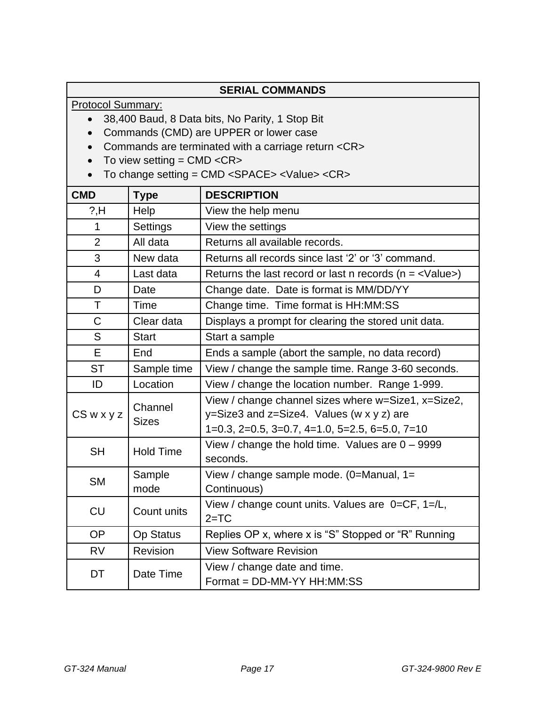| <b>SERIAL COMMANDS</b>                                                                                                       |                                                                                                                 |                                                                           |  |
|------------------------------------------------------------------------------------------------------------------------------|-----------------------------------------------------------------------------------------------------------------|---------------------------------------------------------------------------|--|
| <b>Protocol Summary:</b>                                                                                                     |                                                                                                                 |                                                                           |  |
| 38,400 Baud, 8 Data bits, No Parity, 1 Stop Bit<br>$\bullet$                                                                 |                                                                                                                 |                                                                           |  |
|                                                                                                                              | Commands (CMD) are UPPER or lower case<br>$\bullet$<br>Commands are terminated with a carriage return <cr></cr> |                                                                           |  |
| $\bullet$                                                                                                                    |                                                                                                                 |                                                                           |  |
| To view setting = $CMD < CR$ ><br>To change setting = CMD <space> <value> <cr><br/><math>\bullet</math></cr></value></space> |                                                                                                                 |                                                                           |  |
| <b>CMD</b>                                                                                                                   | <b>Type</b>                                                                                                     | <b>DESCRIPTION</b>                                                        |  |
| $?$ ,H                                                                                                                       | Help                                                                                                            | View the help menu                                                        |  |
| $\mathbf{1}$                                                                                                                 | Settings                                                                                                        | View the settings                                                         |  |
| $\overline{2}$                                                                                                               | All data                                                                                                        | Returns all available records.                                            |  |
| 3                                                                                                                            | New data                                                                                                        | Returns all records since last '2' or '3' command.                        |  |
| $\overline{4}$                                                                                                               | Last data                                                                                                       | Returns the last record or last n records ( $n = \langle Value \rangle$ ) |  |
| D                                                                                                                            | Date                                                                                                            | Change date. Date is format is MM/DD/YY                                   |  |
| T.                                                                                                                           | Time                                                                                                            | Change time. Time format is HH:MM:SS                                      |  |
| $\mathsf{C}$                                                                                                                 | Clear data                                                                                                      | Displays a prompt for clearing the stored unit data.                      |  |
| S                                                                                                                            | <b>Start</b>                                                                                                    | Start a sample                                                            |  |
| E                                                                                                                            | End                                                                                                             | Ends a sample (abort the sample, no data record)                          |  |
| <b>ST</b>                                                                                                                    | Sample time                                                                                                     | View / change the sample time. Range 3-60 seconds.                        |  |
| ID                                                                                                                           | Location                                                                                                        | View / change the location number. Range 1-999.                           |  |
|                                                                                                                              |                                                                                                                 | View / change channel sizes where w=Size1, x=Size2,                       |  |
| $CS$ w x y z                                                                                                                 | Channel                                                                                                         | $y = Size3$ and $z = Size4$ . Values (w x y z) are                        |  |
|                                                                                                                              | <b>Sizes</b>                                                                                                    | $1=0.3$ , $2=0.5$ , $3=0.7$ , $4=1.0$ , $5=2.5$ , $6=5.0$ , $7=10$        |  |
| <b>SH</b>                                                                                                                    | <b>Hold Time</b>                                                                                                | View / change the hold time. Values are $0 - 9999$                        |  |
|                                                                                                                              |                                                                                                                 | seconds.                                                                  |  |
| SΜ                                                                                                                           | Sample                                                                                                          | View / change sample mode. $(0=$ Manual, 1=                               |  |
|                                                                                                                              | mode                                                                                                            | Continuous)                                                               |  |
| <b>CU</b>                                                                                                                    | Count units                                                                                                     | View / change count units. Values are 0=CF, 1=/L,<br>$2 = TC$             |  |
| <b>OP</b>                                                                                                                    | <b>Op Status</b>                                                                                                | Replies OP x, where x is "S" Stopped or "R" Running                       |  |
| <b>RV</b>                                                                                                                    | Revision                                                                                                        | <b>View Software Revision</b>                                             |  |
| DT                                                                                                                           | Date Time                                                                                                       | View / change date and time.<br>Format = DD-MM-YY HH:MM:SS                |  |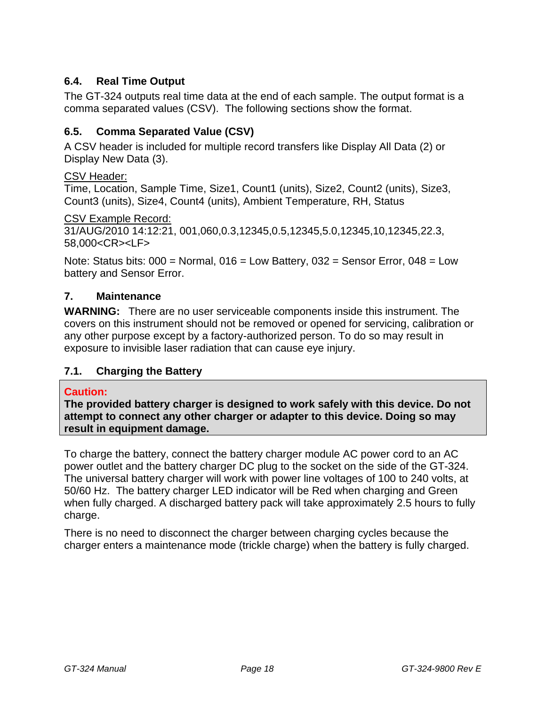# <span id="page-17-0"></span>**6.4. Real Time Output**

The GT-324 outputs real time data at the end of each sample. The output format is a comma separated values (CSV). The following sections show the format.

# <span id="page-17-1"></span>**6.5. Comma Separated Value (CSV)**

A CSV header is included for multiple record transfers like Display All Data (2) or Display New Data (3).

#### CSV Header:

Time, Location, Sample Time, Size1, Count1 (units), Size2, Count2 (units), Size3, Count3 (units), Size4, Count4 (units), Ambient Temperature, RH, Status

CSV Example Record:

31/AUG/2010 14:12:21, 001,060,0.3,12345,0.5,12345,5.0,12345,10,12345,22.3, 58,000<CR><LF>

Note: Status bits:  $000 =$  Normal,  $016 =$  Low Battery,  $032 =$  Sensor Error,  $048 =$  Low battery and Sensor Error.

#### <span id="page-17-2"></span>**7. Maintenance**

**WARNING:** There are no user serviceable components inside this instrument. The covers on this instrument should not be removed or opened for servicing, calibration or any other purpose except by a factory-authorized person. To do so may result in exposure to invisible laser radiation that can cause eye injury.

# <span id="page-17-3"></span>**7.1. Charging the Battery**

#### **Caution:**

**The provided battery charger is designed to work safely with this device. Do not attempt to connect any other charger or adapter to this device. Doing so may result in equipment damage.** 

To charge the battery, connect the battery charger module AC power cord to an AC power outlet and the battery charger DC plug to the socket on the side of the GT-324. The universal battery charger will work with power line voltages of 100 to 240 volts, at 50/60 Hz. The battery charger LED indicator will be Red when charging and Green when fully charged. A discharged battery pack will take approximately 2.5 hours to fully charge.

There is no need to disconnect the charger between charging cycles because the charger enters a maintenance mode (trickle charge) when the battery is fully charged.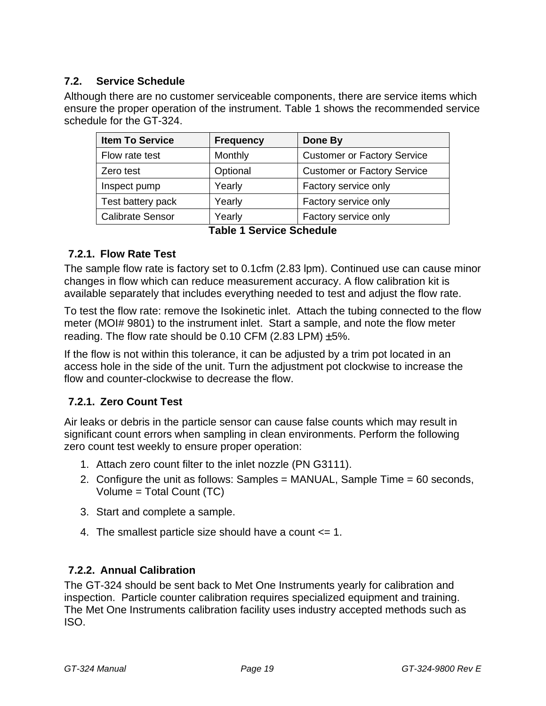# <span id="page-18-0"></span>**7.2. Service Schedule**

Although there are no customer serviceable components, there are service items which ensure the proper operation of the instrument. [Table 1](#page-18-1) shows the recommended service schedule for the GT-324.

| <b>Item To Service</b>  | <b>Frequency</b> | Done By                            |
|-------------------------|------------------|------------------------------------|
| Flow rate test          | Monthly          | <b>Customer or Factory Service</b> |
| Zero test               | Optional         | <b>Customer or Factory Service</b> |
| Inspect pump            | Yearly           | Factory service only               |
| Test battery pack       | Yearly           | Factory service only               |
| <b>Calibrate Sensor</b> | Yearly           | Factory service only               |

**Table 1 Service Schedule**

# <span id="page-18-1"></span>**7.2.1. Flow Rate Test**

The sample flow rate is factory set to 0.1cfm (2.83 lpm). Continued use can cause minor changes in flow which can reduce measurement accuracy. A flow calibration kit is available separately that includes everything needed to test and adjust the flow rate.

To test the flow rate: remove the Isokinetic inlet. Attach the tubing connected to the flow meter (MOI# 9801) to the instrument inlet. Start a sample, and note the flow meter reading. The flow rate should be  $0.10$  CFM (2.83 LPM)  $\pm 5\%$ .

If the flow is not within this tolerance, it can be adjusted by a trim pot located in an access hole in the side of the unit. Turn the adjustment pot clockwise to increase the flow and counter-clockwise to decrease the flow.

# **7.2.1. Zero Count Test**

Air leaks or debris in the particle sensor can cause false counts which may result in significant count errors when sampling in clean environments. Perform the following zero count test weekly to ensure proper operation:

- 1. Attach zero count filter to the inlet nozzle (PN G3111).
- 2. Configure the unit as follows: Samples = MANUAL, Sample Time = 60 seconds, Volume = Total Count (TC)
- 3. Start and complete a sample.
- 4. The smallest particle size should have a count <= 1.

# **7.2.2. Annual Calibration**

The GT-324 should be sent back to Met One Instruments yearly for calibration and inspection. Particle counter calibration requires specialized equipment and training. The Met One Instruments calibration facility uses industry accepted methods such as ISO.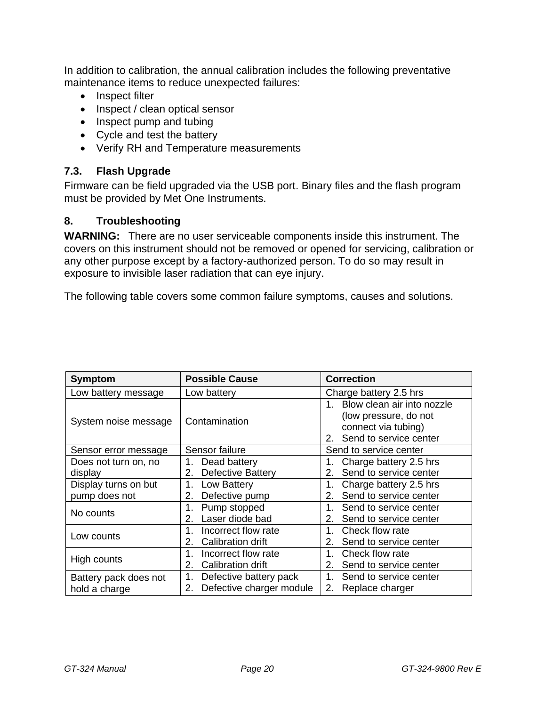In addition to calibration, the annual calibration includes the following preventative maintenance items to reduce unexpected failures:

- Inspect filter
- Inspect / clean optical sensor
- Inspect pump and tubing
- Cycle and test the battery
- Verify RH and Temperature measurements

#### <span id="page-19-0"></span>**7.3. Flash Upgrade**

Firmware can be field upgraded via the USB port. Binary files and the flash program must be provided by Met One Instruments.

#### <span id="page-19-1"></span>**8. Troubleshooting**

**WARNING:** There are no user serviceable components inside this instrument. The covers on this instrument should not be removed or opened for servicing, calibration or any other purpose except by a factory-authorized person. To do so may result in exposure to invisible laser radiation that can eye injury.

The following table covers some common failure symptoms, causes and solutions.

| <b>Symptom</b>        | <b>Possible Cause</b>                                            | <b>Correction</b>                                                                                                          |
|-----------------------|------------------------------------------------------------------|----------------------------------------------------------------------------------------------------------------------------|
| Low battery message   | Low battery                                                      | Charge battery 2.5 hrs                                                                                                     |
| System noise message  | Contamination                                                    | Blow clean air into nozzle<br>$1_{-}$<br>(low pressure, do not<br>connect via tubing)<br>Send to service center<br>$2_{-}$ |
| Sensor error message  | Sensor failure                                                   | Send to service center                                                                                                     |
| Does not turn on, no  | Dead battery<br>1.                                               | Charge battery 2.5 hrs<br>1.                                                                                               |
| display               | <b>Defective Battery</b><br>2.                                   | Send to service center<br>2.                                                                                               |
| Display turns on but  | Low Battery<br>1.                                                | Charge battery 2.5 hrs<br>1.                                                                                               |
| pump does not         | Defective pump<br>2.                                             | Send to service center<br>$2_{-}$                                                                                          |
| No counts             | Pump stopped<br>1.<br>Laser diode bad<br>2.                      | Send to service center<br>1.<br>Send to service center<br>2.                                                               |
| Low counts            | Incorrect flow rate<br>$1_{-}$<br>2.<br>Calibration drift        | 1.<br>Check flow rate<br>2.<br>Send to service center                                                                      |
| High counts           | 1 <sup>1</sup><br>Incorrect flow rate<br>Calibration drift<br>2. | Check flow rate<br>1.<br>Send to service center<br>$2_{-}$                                                                 |
| Battery pack does not | Defective battery pack<br>1.                                     | 1.<br>Send to service center                                                                                               |
| hold a charge         | Defective charger module<br>2.                                   | 2.<br>Replace charger                                                                                                      |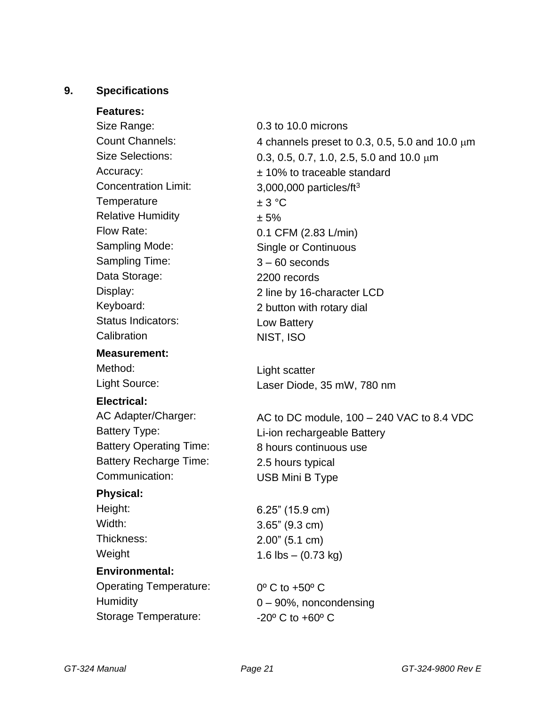#### <span id="page-20-0"></span>**9. Specifications**

**Features:**

Size Range: Count Channels: Size Selections: Accuracy: Concentration Limit: **Temperature** Relative Humidity Flow Rate: Sampling Mode: Sampling Time: Data Storage: Display: Keyboard: Status Indicators: **Calibration** 

#### **Measurement:**

Method: Light Source:

#### **Electrical:**

AC Adapter/Charger: Battery Type: Battery Operating Time: Battery Recharge Time: Communication:

#### **Physical:**

Height: Width: Thickness: Weight

#### **Environmental:**

Operating Temperature: **Humidity** Storage Temperature:

0.3 to 10.0 microns 4 channels preset to 0.3, 0.5, 5.0 and 10.0  $\mu$ m 0.3, 0.5, 0.7, 1.0, 2.5, 5.0 and 10.0  $\mu$ m ± 10% to traceable standard 3,000,000 particles/ft<sup>3</sup>  $± 3 °C$ ± 5% 0.1 CFM (2.83 L/min) Single or Continuous 3 – 60 seconds 2200 records 2 line by 16-character LCD 2 button with rotary dial Low Battery NIST, ISO

Light scatter Laser Diode, 35 mW, 780 nm

AC to DC module, 100 – 240 VAC to 8.4 VDC Li-ion rechargeable Battery 8 hours continuous use 2.5 hours typical USB Mini B Type

6.25" (15.9 cm) 3.65" (9.3 cm) 2.00" (5.1 cm) 1.6 lbs  $-$  (0.73 kg)

0º C to +50º C 0 – 90%, noncondensing -20º C to +60º C